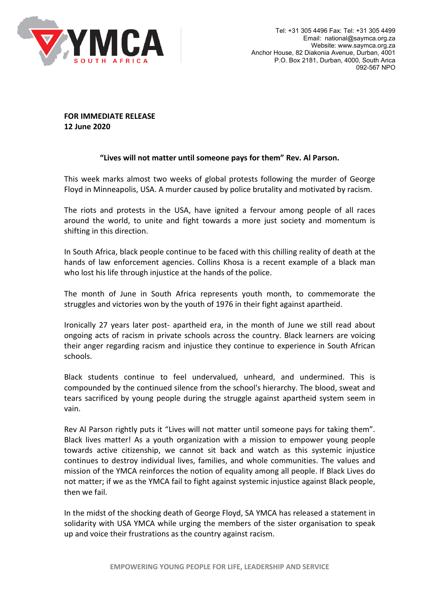

**FOR IMMEDIATE RELEASE 12 June 2020**

## **"Lives will not matter until someone pays for them" Rev. Al Parson.**

This week marks almost two weeks of global protests following the murder of George Floyd in Minneapolis, USA. A murder caused by police brutality and motivated by racism.

The riots and protests in the USA, have ignited a fervour among people of all races around the world, to unite and fight towards a more just society and momentum is shifting in this direction.

In South Africa, black people continue to be faced with this chilling reality of death at the hands of law enforcement agencies. Collins Khosa is a recent example of a black man who lost his life through injustice at the hands of the police.

The month of June in South Africa represents youth month, to commemorate the struggles and victories won by the youth of 1976 in their fight against apartheid.

Ironically 27 years later post- apartheid era, in the month of June we still read about ongoing acts of racism in private schools across the country. Black learners are voicing their anger regarding racism and injustice they continue to experience in South African schools.

Black students continue to feel undervalued, unheard, and undermined. This is compounded by the continued silence from the school's hierarchy. The blood, sweat and tears sacrificed by young people during the struggle against apartheid system seem in vain.

Rev Al Parson rightly puts it "Lives will not matter until someone pays for taking them". Black lives matter! As a youth organization with a mission to empower young people towards active citizenship, we cannot sit back and watch as this systemic injustice continues to destroy individual lives, families, and whole communities. The values and mission of the YMCA reinforces the notion of equality among all people. If Black Lives do not matter; if we as the YMCA fail to fight against systemic injustice against Black people, then we fail.

In the midst of the shocking death of George Floyd, SA YMCA has released a statement in solidarity with USA YMCA while urging the members of the sister organisation to speak up and voice their frustrations as the country against racism.